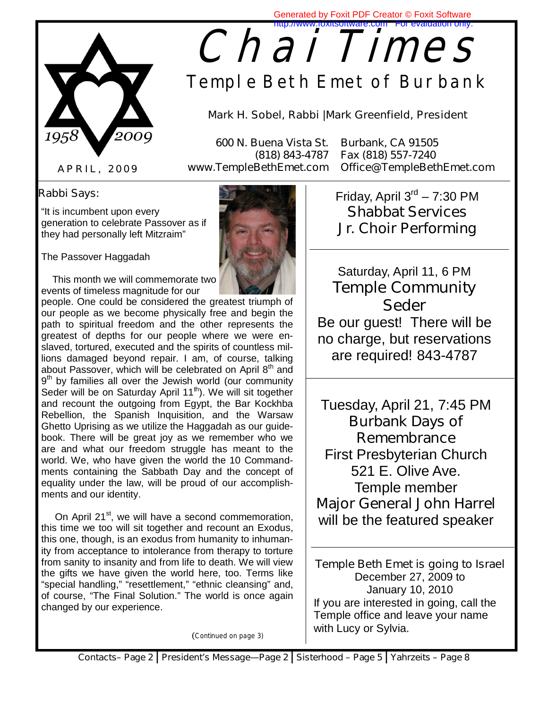

## **Chai Times** Generated by Foxit PDF Creator © Foxit Software http://www.foxitsoftware.com

**Temple Beth Emet of Burbank** 

**Mark H. Sobel, Rabbi |Mark Greenfield, President** 

 **600 N. Buena Vista St. Burbank, CA 91505** 

 **(818) 843-4787 Fax (818) 557-7240 www.TempleBethEmet.com Office@TempleBethEmet.com** 

### **A P R I L , 2 0 0 9**

### *Rabbi Says***:**

"It is incumbent upon every generation to celebrate Passover as if they had personally left Mitzraim"

The Passover Haggadah

 This month we will commemorate two events of timeless magnitude for our

people. One could be considered the greatest triumph of our people as we become physically free and begin the path to spiritual freedom and the other represents the greatest of depths for our people where we were enslaved, tortured, executed and the spirits of countless millions damaged beyond repair. I am, of course, talking about Passover, which will be celebrated on April 8<sup>th</sup> and  $9<sup>th</sup>$  by families all over the Jewish world (our community Seder will be on Saturday April  $11<sup>th</sup>$ ). We will sit together and recount the outgoing from Egypt, the Bar Kockhba Rebellion, the Spanish Inquisition, and the Warsaw Ghetto Uprising as we utilize the Haggadah as our guidebook. There will be great joy as we remember who we are and what our freedom struggle has meant to the world. We, who have given the world the 10 Commandments containing the Sabbath Day and the concept of equality under the law, will be proud of our accomplishments and our identity.

On April  $21^{st}$ , we will have a second commemoration, this time we too will sit together and recount an Exodus, this one, though, is an exodus from humanity to inhumanity from acceptance to intolerance from therapy to torture from sanity to insanity and from life to death. We will view the gifts we have given the world here, too. Terms like "special handling," "resettlement," "ethnic cleansing" and, of course, "The Final Solution." The world is once again changed by our experience.

(*Continued on page 3)*

Friday, April  $3<sup>rd</sup> - 7:30$  PM **Shabbat Services**  *Jr. Choir Performing* 

Saturday, April 11, 6 PM *Temple Community Seder* 

Be our guest! There will be no charge, but reservations are required! 843-4787

Tuesday, April 21, 7:45 PM *Burbank Days of Remembrance* 

First Presbyterian Church 521 E. Olive Ave. Temple member *Major General John Harrel*  will be the featured speaker

**Temple Beth Emet is going to Israel**  December 27, 2009 to January 10, 2010 If you are interested in going, call the Temple office and leave your name with Lucy or Sylvia.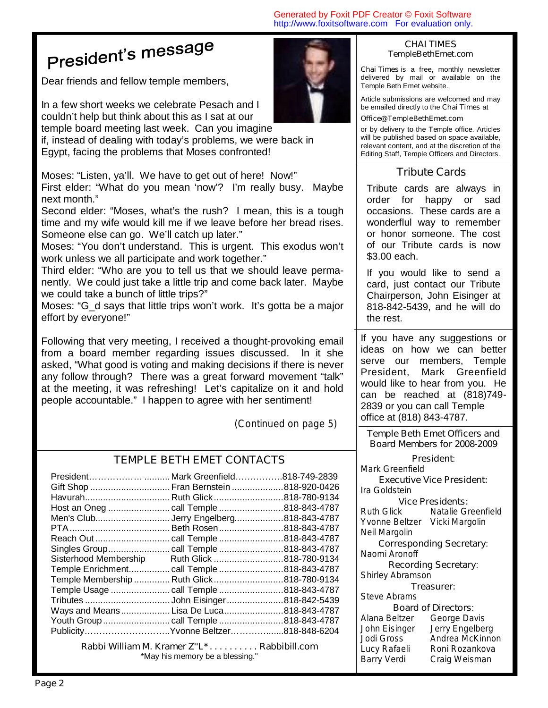## President's message

Dear friends and fellow temple members,

In a few short weeks we celebrate Pesach and I couldn't help but think about this as I sat at our temple board meeting last week. Can you imagine

if, instead of dealing with today's problems, we were back in Egypt, facing the problems that Moses confronted!

Moses: "Listen, ya'll. We have to get out of here! Now!"

First elder: "What do you mean 'now'? I'm really busy. Maybe next month."

Second elder: "Moses, what's the rush? I mean, this is a tough time and my wife would kill me if we leave before her bread rises. Someone else can go. We'll catch up later."

Moses: "You don't understand. This is urgent. This exodus won't work unless we all participate and work together."

Third elder: "Who are you to tell us that we should leave permanently. We could just take a little trip and come back later. Maybe we could take a bunch of little trips?"

Moses: "G d says that little trips won't work. It's gotta be a major effort by everyone!"

Following that very meeting, I received a thought-provoking email from a board member regarding issues discussed. In it she asked, "What good is voting and making decisions if there is never any follow through? There was a great forward movement "talk" at the meeting, it was refreshing! Let's capitalize on it and hold people accountable." I happen to agree with her sentiment!

*(Continued on page 5)* 

### **TEMPLE BETH EMET CONTACTS**

| President<br>Gift Shop  Fran Bernstein 818-920-0426 | Mark Greenfield818-749-2839 |               |
|-----------------------------------------------------|-----------------------------|---------------|
| Havurah Ruth Glick                                  |                             | .818-780-9134 |
| Host an Oneg                                        | call Temple                 | 818-843-4787  |
| Men's Club                                          | Jerry Engelberg             | 818-843-4787  |
|                                                     | Beth Rosen                  | .818-843-4787 |
| Reach Out                                           | . call Temple               | 818-843-4787  |
|                                                     |                             | .818-843-4787 |
| Sisterhood Membership                               | Ruth Glick                  | .818-780-9134 |
| Temple Enrichment call Temple                       |                             | 818-843-4787  |
| Temple Membership  Ruth Glick                       |                             | 818-780-9134  |
| Temple Usage                                        | call Temple                 | 818-843-4787  |
| Tributes                                            | John Eisinger               | 818-842-5439  |
| Ways and Means                                      | Lisa De Luca                | .818-843-4787 |
|                                                     |                             |               |
| PublicityYvonne Beltzer818-848-6204                 |                             |               |

**Rabbi William M. Kramer Z''L\* . . . . . . . . . . Rabbibill.com** \*May his memory be a blessing."



#### **CHAI TIMES TempleBethEmet.com**

**Chai Times** is a free, monthly newsletter delivered by mail or available on the Temple Beth Emet website.

Article submissions are welcomed and may be emailed directly to the **Chai Times** at

### **Office@TempleBethEmet.com**

or by delivery to the Temple office. Articles will be published based on space available, relevant content, and at the discretion of the Editing Staff, Temple Officers and Directors.

### **Tribute Cards**

Tribute cards are always in order for happy or sad occasions. These cards are a wonderflul way to remember or honor someone. The cost of our Tribute cards is now \$3.00 each.

If you would like to send a card, just contact our Tribute Chairperson, John Eisinger at 818-842-5439, and he will do the rest.

If you have any suggestions or ideas on how we can better serve our members, Temple President, Mark Greenfield would like to hear from you. He can be reached at (818)749- 2839 or you can call Temple office at (818) 843-4787.

**Temple Beth Emet Officers and Board Members for 2008-2009** 

**President**:

*Mark Greenfield* 

**Executive Vice President:**  *Ira Goldstein* 

**Vice Presidents:**<br>*Ruth Glick* Matalie Gi *Ruth Glick Natalie Greenfield Yvonne Beltzer Vicki Margolin Neil Margolin* 

**Corresponding Secretary**: *Naomi Aronoff* 

**Recording Secretary**: *Shirley Abramson* 

#### **Treasurer:**

*Steve Abrams* 

| <b>Board of Di</b> |    |
|--------------------|----|
| Alana Beltzer      | Gε |
| John Eisinger      | Je |
| Jodi Gross         | Ar |
| Lucy Rafaeli       | Ro |
| <b>Barry Verdi</b> | Сr |

**Board of Directors**: *Alana Beltzer George Davis John Eisinger Jerry Engelberg Jodi Gross Andrea McKinnon Lucy Rafaeli Roni Rozankova Barry Verdi Craig Weisman*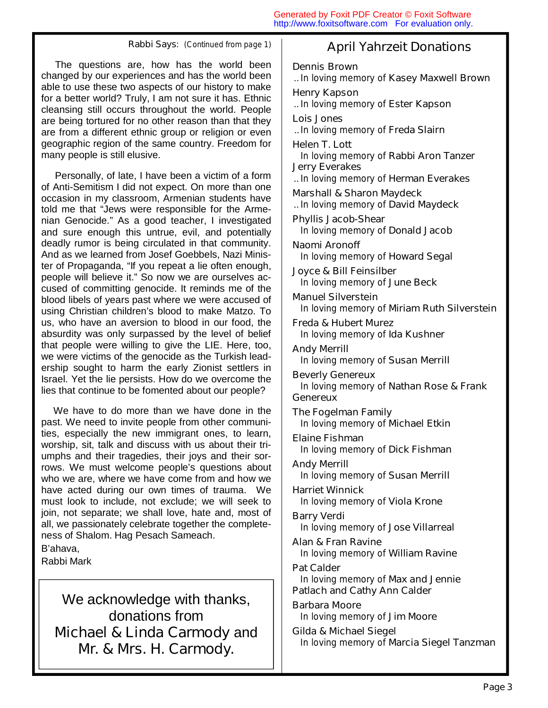The questions are, how has the world been changed by our experiences and has the world been able to use these two aspects of our history to make for a better world? Truly, I am not sure it has. Ethnic cleansing still occurs throughout the world. People are being tortured for no other reason than that they are from a different ethnic group or religion or even geographic region of the same country. Freedom for many people is still elusive.

 Personally, of late, I have been a victim of a form of Anti-Semitism I did not expect. On more than one occasion in my classroom, Armenian students have told me that "Jews were responsible for the Armenian Genocide." As a good teacher, I investigated and sure enough this untrue, evil, and potentially deadly rumor is being circulated in that community. And as we learned from Josef Goebbels, Nazi Minister of Propaganda, "If you repeat a lie often enough, people will believe it." So now we are ourselves accused of committing genocide. It reminds me of the blood libels of years past where we were accused of using Christian children's blood to make Matzo. To us, who have an aversion to blood in our food, the absurdity was only surpassed by the level of belief that people were willing to give the LIE. Here, too, we were victims of the genocide as the Turkish leadership sought to harm the early Zionist settlers in Israel. Yet the lie persists. How do we overcome the lies that continue to be fomented about our people?

 We have to do more than we have done in the past. We need to invite people from other communities, especially the new immigrant ones, to learn, worship, sit, talk and discuss with us about their triumphs and their tragedies, their joys and their sorrows. We must welcome people's questions about who we are, where we have come from and how we have acted during our own times of trauma. We must look to include, not exclude; we will seek to join, not separate; we shall love, hate and, most of all, we passionately celebrate together the completeness of Shalom. Hag Pesach Sameach.

B'ahava,

Rabbi Mark

We acknowledge with thanks, donations from *Michael & Linda Carmody* and *Mr. & Mrs. H. Carmody.* 

### **Rabbi Says**: (Continued from page 1) **April Yahrzeit Donations**

**Dennis Brown**  .. *In loving memory of Kasey Maxwell Brown*  **Henry Kapson**  .. *In loving memory of Ester Kapson*  **Lois Jones**  .. *In loving memory of Freda Slairn*  **Helen T. Lott**  *In loving memory of Rabbi Aron Tanzer*  **Jerry Everakes**  .. *In loving memory of Herman Everakes*  **Marshall & Sharon Maydeck**  .. *In loving memory of David Maydeck*  **Phyllis Jacob-Shear**  *In loving memory of Donald Jacob*  **Naomi Aronoff**  *In loving memory of Howard Segal*  **Joyce & Bill Feinsilber**  *In loving memory of June Beck*  **Manuel Silverstein**  *In loving memory of Miriam Ruth Silverstein*  **Freda & Hubert Murez**  *In loving memory of Ida Kushner*  **Andy Merrill**  *In loving memory of Susan Merrill*  **Beverly Genereux**  *In loving memory of Nathan Rose & Frank Genereux*  **The Fogelman Family**  *In loving memory of Michael Etkin*  **Elaine Fishman**  *In loving memory of Dick Fishman*  **Andy Merrill**  *In loving memory of Susan Merrill*  **Harriet Winnick**  *In loving memory of Viola Krone*  **Barry Verdi**  *In loving memory of Jose Villarreal*  **Alan & Fran Ravine**  *In loving memory of William Ravine*  **Pat Calder**  *In loving memory of Max and Jennie Patlach and Cathy Ann Calder*  **Barbara Moore**  *In loving memory of Jim Moore*  **Gilda & Michael Siegel**  *In loving memory of Marcia Siegel Tanzman*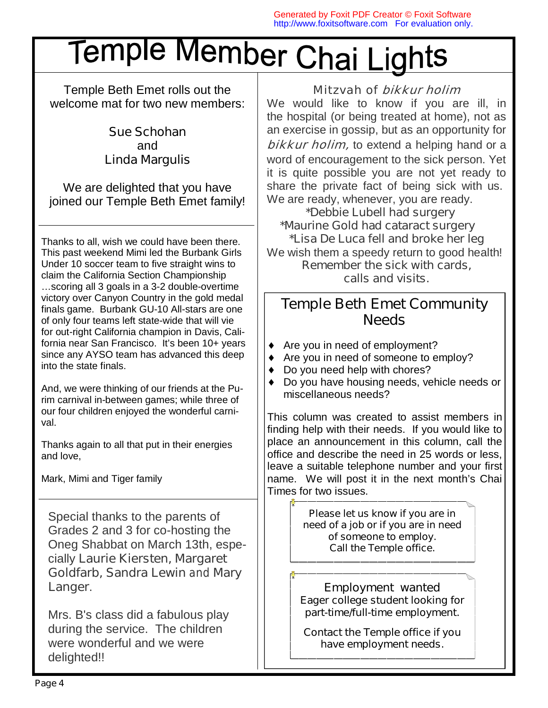# Temple Member Chai Lights

Temple Beth Emet rolls out the welcome mat for two new members:

### *Sue Schohan*  and *Linda Margulis*

We are delighted that you have joined our Temple Beth Emet family!

Thanks to all, wish we could have been there. This past weekend Mimi led the Burbank Girls Under 10 soccer team to five straight wins to claim the California Section Championship …scoring all 3 goals in a 3-2 double-overtime victory over Canyon Country in the gold medal finals game. Burbank GU-10 All-stars are one of only four teams left state-wide that will vie for out-right California champion in Davis, California near San Francisco. It's been 10+ years since any AYSO team has advanced this deep into the state finals.

And, we were thinking of our friends at the Purim carnival in-between games; while three of our four children enjoyed the wonderful carnival.

Thanks again to all that put in their energies and love,

Mark, Mimi and Tiger family

Special thanks to the parents of Grades 2 and 3 for co-hosting the Oneg Shabbat on March 13th, especially *Laurie Kiersten, Margaret Goldfarb, Sandra Lewin and Mary Langer*.

Mrs. B's class did a fabulous play during the service. The children were wonderful and we were delighted!!

### Mitzvah of bikkur holim

We would like to know if you are ill, in the hospital (or being treated at home), not as an exercise in gossip, but as an opportunity for **bikkur holim**, to extend a helping hand or a word of encouragement to the sick person. Yet it is quite possible you are not yet ready to share the private fact of being sick with us. We are ready, whenever, you are ready.

 *\*Debbie Lubell had surgery \*Maurine Gold had cataract surgery \*Lisa De Luca fell and broke her leg*  We wish them a speedy return to good health! **Remember the sick with cards, calls and visits.**

### **Temple Beth Emet Community Needs**

- Are you in need of employment?
- ♦ Are you in need of someone to employ?
- Do you need help with chores?
- ♦ Do you have housing needs, vehicle needs or miscellaneous needs?

This column was created to assist members in finding help with their needs. If you would like to place an announcement in this column, call the office and describe the need in 25 words or less, leave a suitable telephone number and your first name. We will post it in the next month's Chai Times for two issues.

> *Please let us know if you are in need of a job or if you are in need of someone to employ. Call the Temple office.*

*Employment wanted Eager college student looking for part-time/full-time employment.* 

*Contact the Temple office if you have employment needs.*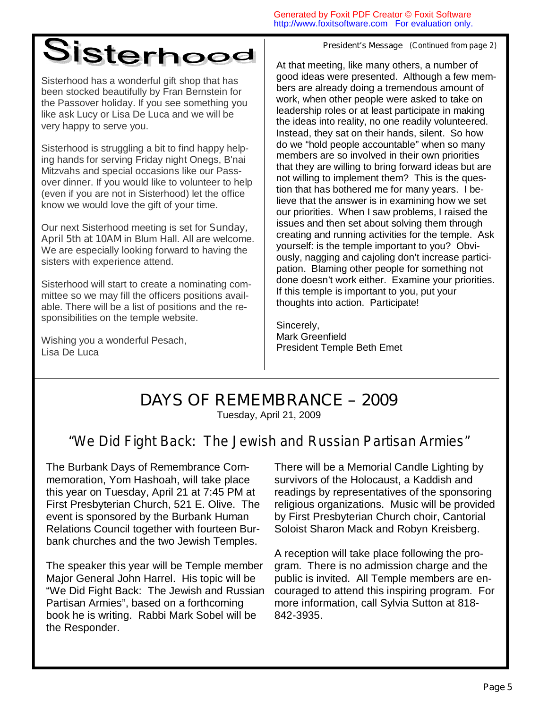## Sisterhood

Sisterhood has a wonderful gift shop that has been stocked beautifully by Fran Bernstein for the Passover holiday. If you see something you like ask Lucy or Lisa De Luca and we will be very happy to serve you.

Sisterhood is struggling a bit to find happy helping hands for serving Friday night Onegs, B'nai Mitzvahs and special occasions like our Passover dinner. If you would like to volunteer to help (even if you are not in Sisterhood) let the office know we would love the gift of your time.

Our next Sisterhood meeting is set for **Sunday, April 5th at 10AM** in Blum Hall. All are welcome. We are especially looking forward to having the sisters with experience attend.

Sisterhood will start to create a nominating committee so we may fill the officers positions available. There will be a list of positions and the responsibilities on the temple website.

Wishing you a wonderful Pesach, Lisa De Luca

*President's Message (Continued from page 2)*

At that meeting, like many others, a number of good ideas were presented. Although a few members are already doing a tremendous amount of work, when other people were asked to take on leadership roles or at least participate in making the ideas into reality, no one readily volunteered. Instead, they sat on their hands, silent. So how do we "hold people accountable" when so many members are so involved in their own priorities that they are willing to bring forward ideas but are not willing to implement them? This is the question that has bothered me for many years. I believe that the answer is in examining how we set our priorities. When I saw problems, I raised the issues and then set about solving them through creating and running activities for the temple. Ask yourself: is the temple important to you? Obviously, nagging and cajoling don't increase participation. Blaming other people for something not done doesn't work either. Examine your priorities. If this temple is important to you, put your thoughts into action. Participate!

Sincerely, Mark Greenfield President Temple Beth Emet

## **DAYS OF REMEMBRANCE – 2009**

Tuesday, April 21, 2009

### *"We Did Fight Back: The Jewish and Russian Partisan Armies"*

The Burbank Days of Remembrance Commemoration, Yom Hashoah, will take place this year on Tuesday, April 21 at 7:45 PM at First Presbyterian Church, 521 E. Olive. The event is sponsored by the Burbank Human Relations Council together with fourteen Burbank churches and the two Jewish Temples.

The speaker this year will be Temple member Major General John Harrel. His topic will be "We Did Fight Back: The Jewish and Russian Partisan Armies", based on a forthcoming book he is writing. Rabbi Mark Sobel will be the Responder.

There will be a Memorial Candle Lighting by survivors of the Holocaust, a Kaddish and readings by representatives of the sponsoring religious organizations. Music will be provided by First Presbyterian Church choir, Cantorial Soloist Sharon Mack and Robyn Kreisberg.

A reception will take place following the program. There is no admission charge and the public is invited. All Temple members are encouraged to attend this inspiring program. For more information, call Sylvia Sutton at 818- 842-3935.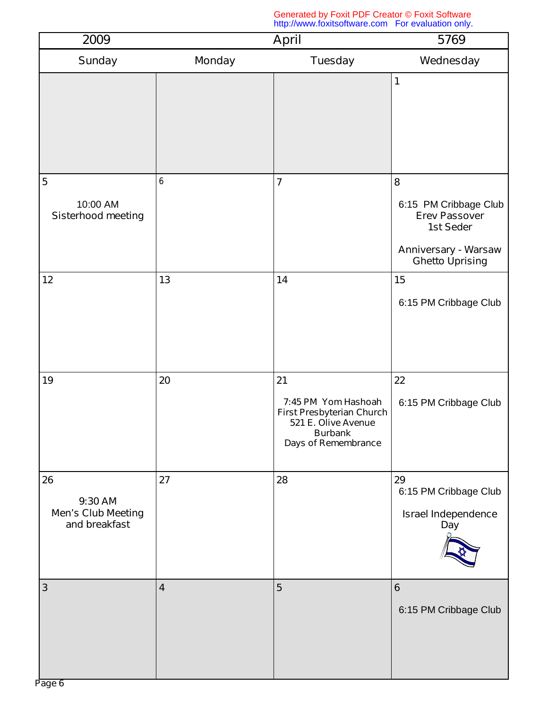| 2009                                                        | <b>April</b>            |                                                                                                                                      | 5769                                                                                                                     |  |
|-------------------------------------------------------------|-------------------------|--------------------------------------------------------------------------------------------------------------------------------------|--------------------------------------------------------------------------------------------------------------------------|--|
| <b>Sunday</b>                                               | <b>Monday</b>           | <b>Tuesday</b>                                                                                                                       | Wednesday                                                                                                                |  |
|                                                             |                         |                                                                                                                                      | 1                                                                                                                        |  |
| 5<br>10:00 AM<br><b>Sisterhood meeting</b>                  | 6                       | $\overline{7}$                                                                                                                       | 8<br>6:15 PM Cribbage Club<br><b>Erev Passover</b><br>1st Seder<br><b>Anniversary - Warsaw</b><br><b>Ghetto Uprising</b> |  |
| 12                                                          | 13                      | 14                                                                                                                                   | 15<br>6:15 PM Cribbage Club                                                                                              |  |
| 19                                                          | 20                      | 21<br>7:45 PM Yom Hashoah<br><b>First Presbyterian Church</b><br>521 E. Olive Avenue<br><b>Burbank</b><br><b>Days of Remembrance</b> | 22<br>6:15 PM Cribbage Club                                                                                              |  |
| 26<br>9:30 AM<br><b>Men's Club Meeting</b><br>and breakfast | 27                      | 28                                                                                                                                   | 29<br>6:15 PM Cribbage Club<br><b>Israel Independence</b><br>Day                                                         |  |
| $\mathbf{3}$                                                | $\overline{\mathbf{4}}$ | $\overline{5}$                                                                                                                       | 6<br>6:15 PM Cribbage Club                                                                                               |  |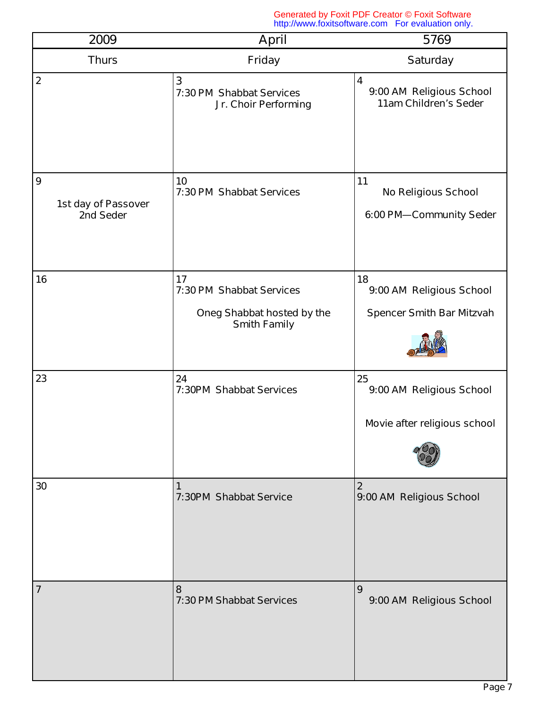| 2009                                                 | <b>April</b>                                                                        | 5769                                                                         |
|------------------------------------------------------|-------------------------------------------------------------------------------------|------------------------------------------------------------------------------|
| <b>Thurs</b>                                         | <b>Friday</b>                                                                       | <b>Saturday</b>                                                              |
| $\overline{2}$                                       | $\mathbf{3}$<br>7:30 PM Shabbat Services<br>Jr. Choir Performing                    | $\overline{\mathbf{4}}$<br>9:00 AM Religious School<br>11am Children's Seder |
| $\boldsymbol{9}$<br>1st day of Passover<br>2nd Seder | 10<br>7:30 PM Shabbat Services                                                      | 11<br><b>No Religious School</b><br>6:00 PM-Community Seder                  |
| 16                                                   | 17<br>7:30 PM Shabbat Services<br>Oneg Shabbat hosted by the<br><b>Smith Family</b> | 18<br>9:00 AM Religious School<br><b>Spencer Smith Bar Mitzvah</b>           |
| 23                                                   | 24<br><b>7:30PM Shabbat Services</b>                                                | 25<br>9:00 AM Religious School<br>Movie after religious school               |
| 30                                                   | $\mathbf{1}$<br>7:30PM Shabbat Service                                              | $\boldsymbol{2}$<br>9:00 AM Religious School                                 |
| $\overline{7}$                                       | 8<br>7:30 PM Shabbat Services                                                       | $\boldsymbol{9}$<br>9:00 AM Religious School                                 |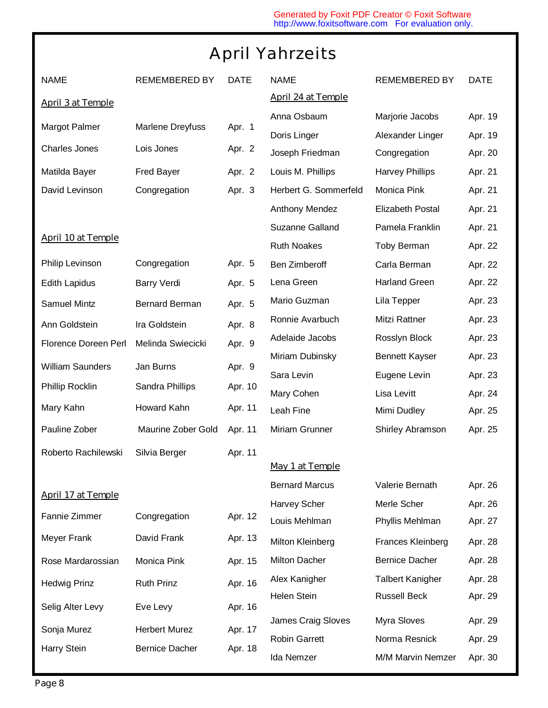## April Yahrzeits

| <b>NAME</b>               | <b>REMEMBERED BY</b>  | <b>DATE</b> | <b>NAME</b>               | <b>REMEMBERED BY</b>    | <b>DATE</b> |
|---------------------------|-----------------------|-------------|---------------------------|-------------------------|-------------|
| <b>April 3 at Temple</b>  |                       |             | <b>April 24 at Temple</b> |                         |             |
|                           |                       |             | Anna Osbaum               | Marjorie Jacobs         | Apr. 19     |
| Margot Palmer             | Marlene Dreyfuss      | Apr. 1      | Doris Linger              | Alexander Linger        | Apr. 19     |
| <b>Charles Jones</b>      | Lois Jones            | Apr. 2      | Joseph Friedman           | Congregation            | Apr. 20     |
| Matilda Bayer             | <b>Fred Bayer</b>     | Apr. 2      | Louis M. Phillips         | <b>Harvey Phillips</b>  | Apr. 21     |
| David Levinson            | Congregation          | Apr. 3      | Herbert G. Sommerfeld     | Monica Pink             | Apr. 21     |
|                           |                       |             | Anthony Mendez            | <b>Elizabeth Postal</b> | Apr. 21     |
|                           |                       |             | Suzanne Galland           | Pamela Franklin         | Apr. 21     |
| <b>April 10 at Temple</b> |                       |             | <b>Ruth Noakes</b>        | <b>Toby Berman</b>      | Apr. 22     |
| Philip Levinson           | Congregation          | Apr. 5      | <b>Ben Zimberoff</b>      | Carla Berman            | Apr. 22     |
| <b>Edith Lapidus</b>      | <b>Barry Verdi</b>    | Apr. 5      | Lena Green                | <b>Harland Green</b>    | Apr. 22     |
| <b>Samuel Mintz</b>       | <b>Bernard Berman</b> | Apr. 5      | Mario Guzman              | Lila Tepper             | Apr. 23     |
| Ann Goldstein             | Ira Goldstein         | Apr. 8      | Ronnie Avarbuch           | Mitzi Rattner           | Apr. 23     |
| Florence Doreen Perl      | Melinda Swiecicki     | Apr. 9      | Adelaide Jacobs           | Rosslyn Block           | Apr. 23     |
|                           |                       |             | Miriam Dubinsky           | <b>Bennett Kayser</b>   | Apr. 23     |
| <b>William Saunders</b>   | Jan Burns             | Apr. 9      | Sara Levin                | Eugene Levin            | Apr. 23     |
| Phillip Rocklin           | Sandra Phillips       | Apr. 10     | Mary Cohen                | Lisa Levitt             | Apr. 24     |
| Mary Kahn                 | Howard Kahn           | Apr. 11     | Leah Fine                 | Mimi Dudley             | Apr. 25     |
| Pauline Zober             | Maurine Zober Gold    | Apr. 11     | Miriam Grunner            | Shirley Abramson        | Apr. 25     |
| Roberto Rachilewski       | Silvia Berger         | Apr. 11     |                           |                         |             |
|                           |                       |             | <b>May 1 at Temple</b>    |                         |             |
| <b>April 17 at Temple</b> |                       |             | <b>Bernard Marcus</b>     | Valerie Bernath         | Apr. 26     |
|                           |                       |             | Harvey Scher              | Merle Scher             | Apr. 26     |
| Fannie Zimmer             | Congregation          | Apr. 12     | Louis Mehlman             | Phyllis Mehlman         | Apr. 27     |
| Meyer Frank               | David Frank           | Apr. 13     | Milton Kleinberg          | Frances Kleinberg       | Apr. 28     |
| Rose Mardarossian         | Monica Pink           | Apr. 15     | Milton Dacher             | <b>Bernice Dacher</b>   | Apr. 28     |
| <b>Hedwig Prinz</b>       | <b>Ruth Prinz</b>     | Apr. 16     | Alex Kanigher             | <b>Talbert Kanigher</b> | Apr. 28     |
|                           |                       |             | Helen Stein               | <b>Russell Beck</b>     | Apr. 29     |
| Selig Alter Levy          | Eve Levy              | Apr. 16     | James Craig Sloves        | Myra Sloves             | Apr. 29     |
| Sonja Murez               | <b>Herbert Murez</b>  | Apr. 17     | <b>Robin Garrett</b>      | Norma Resnick           | Apr. 29     |
| Harry Stein               | <b>Bernice Dacher</b> | Apr. 18     | Ida Nemzer                | M/M Marvin Nemzer       | Apr. 30     |

I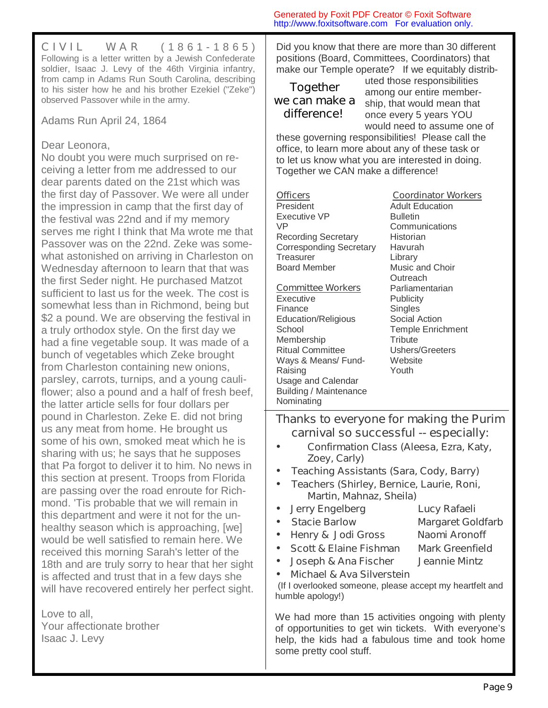**C I V I L W A R** ( 1 8 6 1 - 1 8 6 5 ) Following is a letter written by a Jewish Confederate soldier, Isaac J. Levy of the 46th Virginia infantry, from camp in Adams Run South Carolina, describing to his sister how he and his brother Ezekiel ("Zeke") observed Passover while in the army.

Adams Run April 24, 1864

### Dear Leonora,

No doubt you were much surprised on receiving a letter from me addressed to our dear parents dated on the 21st which was the first day of Passover. We were all under the impression in camp that the first day of the festival was 22nd and if my memory serves me right I think that Ma wrote me that Passover was on the 22nd. Zeke was somewhat astonished on arriving in Charleston on Wednesday afternoon to learn that that was the first Seder night. He purchased Matzot sufficient to last us for the week. The cost is somewhat less than in Richmond, being but \$2 a pound. We are observing the festival in a truly orthodox style. On the first day we had a fine vegetable soup. It was made of a bunch of vegetables which Zeke brought from Charleston containing new onions, parsley, carrots, turnips, and a young cauliflower; also a pound and a half of fresh beef, the latter article sells for four dollars per pound in Charleston. Zeke E. did not bring us any meat from home. He brought us some of his own, smoked meat which he is sharing with us; he says that he supposes that Pa forgot to deliver it to him. No news in this section at present. Troops from Florida are passing over the road enroute for Richmond. 'Tis probable that we will remain in this department and were it not for the unhealthy season which is approaching, [we] would be well satisfied to remain here. We received this morning Sarah's letter of the 18th and are truly sorry to hear that her sight is affected and trust that in a few days she will have recovered entirely her perfect sight.

Love to all, Your affectionate brother Isaac J. Levy

Did you know that there are more than 30 different positions (Board, Committees, Coordinators) that make our Temple operate? If we equitably distrib-

Generated by Foxit PDF Creator © Foxit Software http://www.foxitsoftware.com For evaluation only.

### *Together we can make a difference!*

uted those responsibilities among our entire membership, that would mean that once every 5 years YOU would need to assume one of

these governing responsibilities! Please call the office, to learn more about any of these task or to let us know what you are interested in doing. Together we CAN make a difference!

### **Officers**

President Executive VP VP Recording Secretary Corresponding Secretary **Treasurer** Board Member

### **Committee Workers**

**Executive** Finance Education/Religious **School** Membership Ritual Committee Ways & Means/ Fund-Raising Usage and Calendar Building / Maintenance Nominating

**Coordinator Workers** Adult Education Bulletin **Communications Historian** Havurah **Library** Music and Choir **Outreach Parliamentarian Publicity Singles** Social Action Temple Enrichment **Tribute** Ushers/Greeters **Website** Youth

**Thanks to everyone for making the Purim carnival so successful -- especially:** 

- *Confirmation Class (Aleesa, Ezra, Katy, Zoey, Carly)*
- *Teaching Assistants (Sara, Cody, Barry)*
- *Teachers (Shirley, Bernice, Laurie, Roni, Martin, Mahnaz, Sheila)*
- *Jerry Engelberg Lucy Rafaeli*
- *Stacie Barlow Margaret Goldfarb*
- *Henry & Jodi Gross Naomi Aronoff*
- *Scott & Elaine Fishman Mark Greenfield*
	- *Joseph & Ana Fischer Jeannie Mintz*
- *Michael & Ava Silverstein*

 (If I overlooked someone, please accept my heartfelt and humble apology!)

We had more than 15 activities ongoing with plenty of opportunities to get win tickets. With everyone's help, the kids had a fabulous time and took home some pretty cool stuff.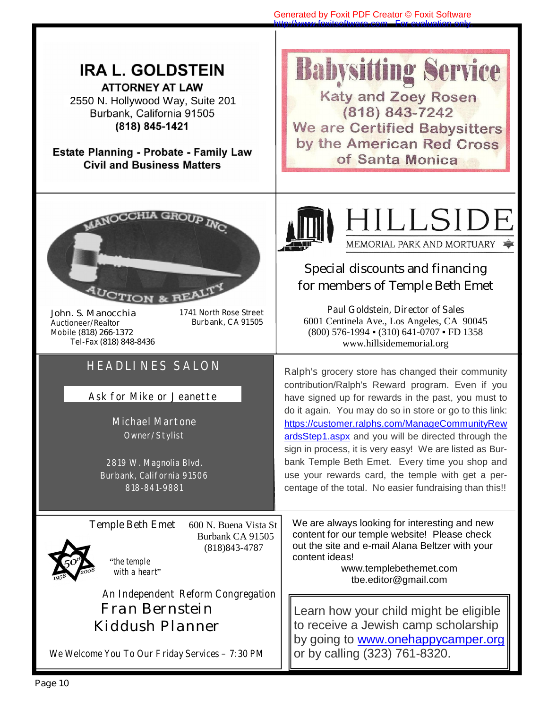| <b>IRA L. GOLDSTEIN</b><br><b>ATTORNEY AT LAW</b><br>2550 N. Hollywood Way, Suite 201<br>Burbank, California 91505<br>(818) 845-1421<br><b>Estate Planning - Probate - Family Law</b><br><b>Civil and Business Matters</b>                                     | <b>Babysitting Service</b><br><b>Katy and Zoey Rosen</b><br>$(818) 843 - 7242$<br>We are Certified Babysitters<br>by the American Red Cross<br>of Santa Monica                                                                                                                                                                                                                                                                                                                                                                                                |
|----------------------------------------------------------------------------------------------------------------------------------------------------------------------------------------------------------------------------------------------------------------|---------------------------------------------------------------------------------------------------------------------------------------------------------------------------------------------------------------------------------------------------------------------------------------------------------------------------------------------------------------------------------------------------------------------------------------------------------------------------------------------------------------------------------------------------------------|
| 1741 North Rose Street<br>John. S. Manocchia<br>Burbank, CA 91505<br><b>Auctioneer/Realtor</b><br>Mobile (818) 266-1372<br>Tel-Fax (818) 848-8436                                                                                                              | HILLSIDE<br>MEMORIAL PARK AND MORTUARY<br><b>Special discounts and financing</b><br>for members of Temple Beth Emet<br><b>Paul Goldstein, Director of Sales</b><br>6001 Centinela Ave., Los Angeles, CA 90045<br>(800) 576-1994 (310) 641-0707 FD 1358<br>www.hillsidememorial.org                                                                                                                                                                                                                                                                            |
| <b>HEADLINES SALON</b><br>Ask for Mike or Jeanette<br><b>Michael Martone</b><br>Owner/Stylist<br>2819 W. Magnolia Blvd.<br>Burbank, California 91506<br>818-841-9881                                                                                           | Ralph's grocery store has changed their community<br>contribution/Ralph's Reward program. Even if you<br>have signed up for rewards in the past, you must to<br>do it again. You may do so in store or go to this link:<br>https://customer.ralphs.com/ManageCommunityRew<br>ardsStep1.aspx and you will be directed through the<br>sign in process, it is very easy! We are listed as Bur-<br>bank Temple Beth Emet. Every time you shop and<br>use your rewards card, the temple with get a per-<br>centage of the total. No easier fundraising than this!! |
| <b>Temple Beth Emet</b><br>600 N. Buena Vista St<br>Burbank CA 91505<br>$(818)843 - 4787$<br>"the temple<br>with a heart"<br><b>An Independent Reform Congregation</b><br>Fran Bernstein<br>Kiddush Planner<br>We Welcome You To Our Friday Services - 7:30 PM | We are always looking for interesting and new<br>content for our temple website! Please check<br>out the site and e-mail Alana Beltzer with your<br>content ideas!<br>www.templebethemet.com<br>tbe.editor@gmail.com<br>Learn how your child might be eligible<br>to receive a Jewish camp scholarship<br>by going to <b>www.onehappycamper.org</b><br>or by calling (323) 761-8320.                                                                                                                                                                          |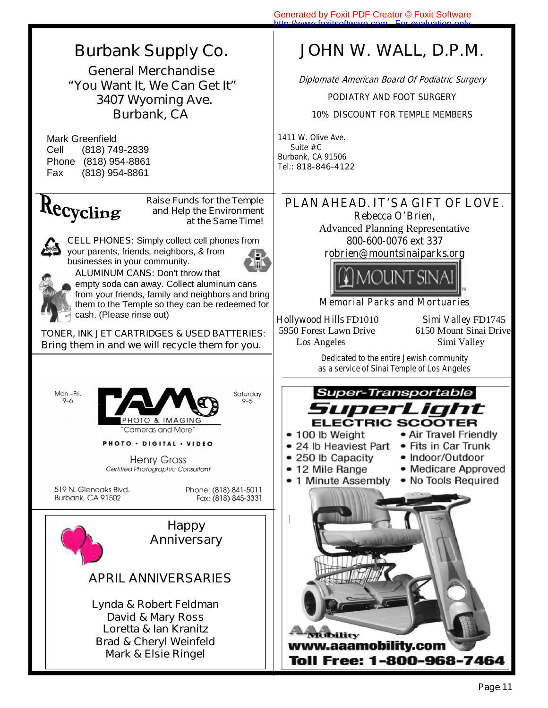

**General Merchandise**  *"You Want It, We Can Get It"*  **3407 Wyoming Ave. Burbank, CA** 

 Mark Greenfield Cell (818) 749-2839 Phone (818) 954-8861 Fax (818) 954-8861

## Recycling

**Raise Funds for the Temple and Help the Environment at the Same Time!**

**CELL PHONES:** Simply collect cell phones from your parents, friends, neighbors, & from businesses in your community.



**ALUMINUM CANS: Don't throw that** empty soda can away. Collect aluminum cans from your friends, family and neighbors and bring them to the Temple so they can be redeemed for cash. (Please rinse out)

**TONER, INK JET CARTRIDGES & USED BATTERIES**: *Bring them in and we will recycle them for you.*





PHOTO · DIGITAL · VIDEO

**Henry Gross** Certified Photographic Consultant

519 N. Glenoaks Blvd. Burbank, CA 91502

Phone: (818) 841-5011 Fax: (818) 845-3331

Saturday

 $9 - 5$ 



*Brad & Cheryl Weinfeld Mark & Elsie Ringel* 

## **JOHN W. WALL, D.P.M.**

Diplomate American Board Of Podiatric Surgery

PODIATRY AND FOOT SURGERY

10% DISCOUNT FOR TEMPLE MEMBERS

1411 W. Olive Ave. Suite #C Burbank, CA 91506 Tel.: **818-846-4122**

**PLAN AHEAD. IT'S A GIFT OF LOVE. Rebecca O'Brien,**  Advanced Planning Representative

**800-600-0076 ext 337** 





### **Memorial Parks and Mortuaries**

**Hollywood Hills** FD1010 **Simi Valley** FD1745 5950 Forest Lawn Drive 6150 Mount Sinai Drive Los Angeles Simi Valley

**Dedicated to the entire Jewish community as a service of Sinai Temple of Los Angeles** 



lity www.aaamobility.com **Toll Free: 1-800-968-7464**